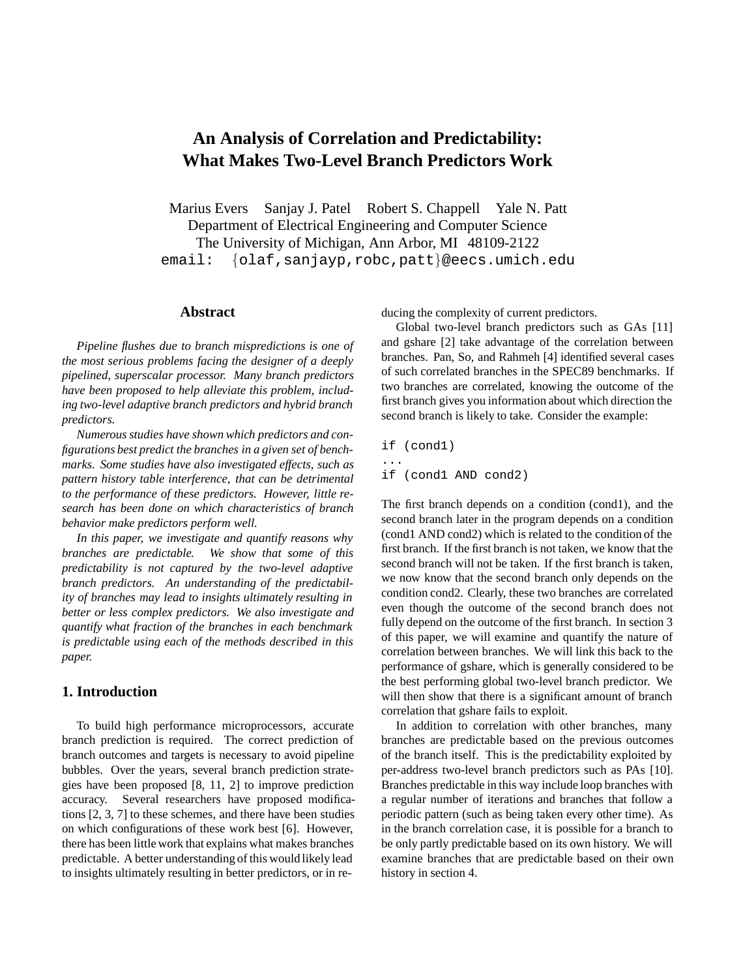# **An Analysis of Correlation and Predictability: What Makes Two-Level Branch Predictors Work**

Marius Evers Sanjay J. Patel Robert S. Chappell Yale N. Patt Department of Electrical Engineering and Computer Science The University of Michigan, Ann Arbor, MI 48109-2122 email: {olaf,sanjayp,robc,patt}@eecs.umich.edu

# **Abstract**

*Pipeline flushes due to branch mispredictions is one of the most serious problems facing the designer of a deeply pipelined, superscalar processor. Many branch predictors have been proposed to help alleviate this problem, including two-level adaptive branch predictors and hybrid branch predictors.*

*Numerous studies have shown which predictors and configurations best predict the branches in a given set of benchmarks. Some studies have also investigated effects, such as pattern history table interference, that can be detrimental to the performance of these predictors. However, little research has been done on which characteristics of branch behavior make predictors perform well.*

*In this paper, we investigate and quantify reasons why branches are predictable. We show that some of this predictability is not captured by the two-level adaptive branch predictors. An understanding of the predictability of branches may lead to insights ultimately resulting in better or less complex predictors. We also investigate and quantify what fraction of the branches in each benchmark is predictable using each of the methods described in this paper.*

# **1. Introduction**

To build high performance microprocessors, accurate branch prediction is required. The correct prediction of branch outcomes and targets is necessary to avoid pipeline bubbles. Over the years, several branch prediction strategies have been proposed [8, 11, 2] to improve prediction accuracy. Several researchers have proposed modifications [2, 3, 7] to these schemes, and there have been studies on which configurations of these work best [6]. However, there has been little work that explains what makes branches predictable. A better understanding of this would likely lead to insights ultimately resulting in better predictors, or in reducing the complexity of current predictors.

Global two-level branch predictors such as GAs [11] and gshare [2] take advantage of the correlation between branches. Pan, So, and Rahmeh [4] identified several cases of such correlated branches in the SPEC89 benchmarks. If two branches are correlated, knowing the outcome of the first branch gives you information about which direction the second branch is likely to take. Consider the example:

if (cond1) ... if (cond1 AND cond2)

The first branch depends on a condition (cond1), and the second branch later in the program depends on a condition (cond1 AND cond2) which is related to the condition of the first branch. If the first branch is not taken, we know that the second branch will not be taken. If the first branch is taken, we now know that the second branch only depends on the condition cond2. Clearly, these two branches are correlated even though the outcome of the second branch does not fully depend on the outcome of the first branch. In section 3 of this paper, we will examine and quantify the nature of correlation between branches. We will link this back to the performance of gshare, which is generally considered to be the best performing global two-level branch predictor. We will then show that there is a significant amount of branch correlation that gshare fails to exploit.

In addition to correlation with other branches, many branches are predictable based on the previous outcomes of the branch itself. This is the predictability exploited by per-address two-level branch predictors such as PAs [10]. Branches predictable in this way include loop branches with a regular number of iterations and branches that follow a periodic pattern (such as being taken every other time). As in the branch correlation case, it is possible for a branch to be only partly predictable based on its own history. We will examine branches that are predictable based on their own history in section 4.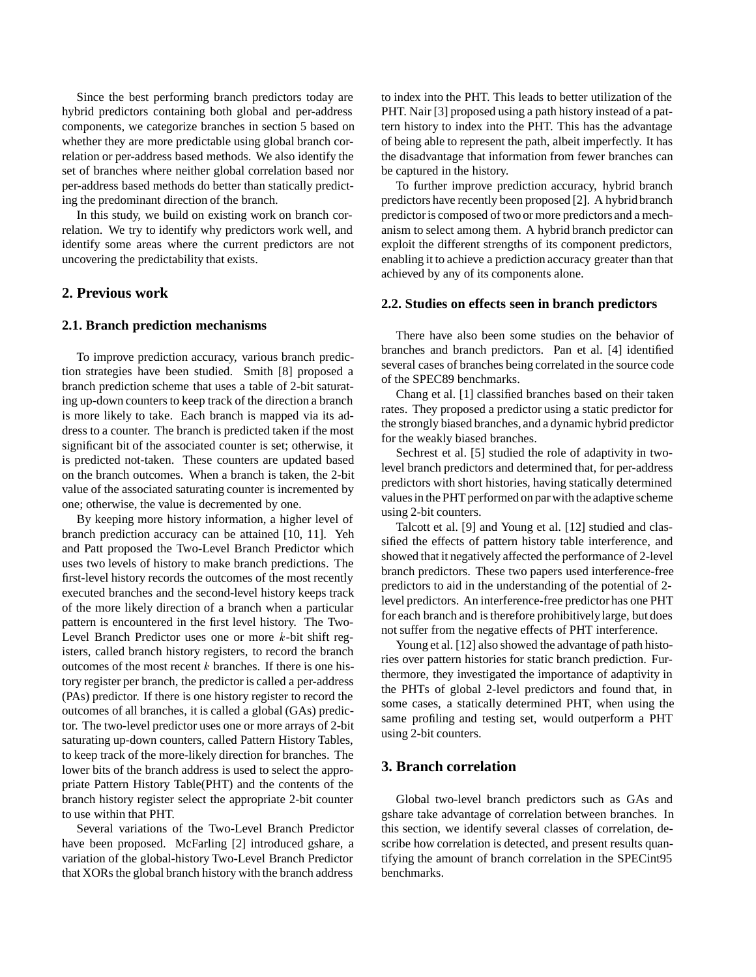Since the best performing branch predictors today are hybrid predictors containing both global and per-address components, we categorize branches in section 5 based on whether they are more predictable using global branch correlation or per-address based methods. We also identify the set of branches where neither global correlation based nor per-address based methods do better than statically predicting the predominant direction of the branch.

In this study, we build on existing work on branch correlation. We try to identify why predictors work well, and identify some areas where the current predictors are not uncovering the predictability that exists.

# **2. Previous work**

# **2.1. Branch prediction mechanisms**

To improve prediction accuracy, various branch prediction strategies have been studied. Smith [8] proposed a branch prediction scheme that uses a table of 2-bit saturating up-down counters to keep track of the direction a branch is more likely to take. Each branch is mapped via its address to a counter. The branch is predicted taken if the most significant bit of the associated counter is set; otherwise, it is predicted not-taken. These counters are updated based on the branch outcomes. When a branch is taken, the 2-bit value of the associated saturating counter is incremented by one; otherwise, the value is decremented by one.

By keeping more history information, a higher level of branch prediction accuracy can be attained [10, 11]. Yeh and Patt proposed the Two-Level Branch Predictor which uses two levels of history to make branch predictions. The first-level history records the outcomes of the most recently executed branches and the second-level history keeps track of the more likely direction of a branch when a particular pattern is encountered in the first level history. The Two-Level Branch Predictor uses one or more <sup>k</sup>-bit shift registers, called branch history registers, to record the branch outcomes of the most recent  $k$  branches. If there is one history register per branch, the predictor is called a per-address (PAs) predictor. If there is one history register to record the outcomes of all branches, it is called a global (GAs) predictor. The two-level predictor uses one or more arrays of 2-bit saturating up-down counters, called Pattern History Tables, to keep track of the more-likely direction for branches. The lower bits of the branch address is used to select the appropriate Pattern History Table(PHT) and the contents of the branch history register select the appropriate 2-bit counter to use within that PHT.

Several variations of the Two-Level Branch Predictor have been proposed. McFarling [2] introduced gshare, a variation of the global-history Two-Level Branch Predictor that XORs the global branch history with the branch address

to index into the PHT. This leads to better utilization of the PHT. Nair [3] proposed using a path history instead of a pattern history to index into the PHT. This has the advantage of being able to represent the path, albeit imperfectly. It has the disadvantage that information from fewer branches can be captured in the history.

To further improve prediction accuracy, hybrid branch predictors have recently been proposed [2]. A hybridbranch predictor is composed of two or more predictors and a mechanism to select among them. A hybrid branch predictor can exploit the different strengths of its component predictors, enabling it to achieve a prediction accuracy greater than that achieved by any of its components alone.

### **2.2. Studies on effects seen in branch predictors**

There have also been some studies on the behavior of branches and branch predictors. Pan et al. [4] identified several cases of branches being correlated in the source code of the SPEC89 benchmarks.

Chang et al. [1] classified branches based on their taken rates. They proposed a predictor using a static predictor for the strongly biased branches, and a dynamic hybrid predictor for the weakly biased branches.

Sechrest et al. [5] studied the role of adaptivity in twolevel branch predictors and determined that, for per-address predictors with short histories, having statically determined values in the PHT performed on par with the adaptive scheme using 2-bit counters.

Talcott et al. [9] and Young et al. [12] studied and classified the effects of pattern history table interference, and showed that it negatively affected the performance of 2-level branch predictors. These two papers used interference-free predictors to aid in the understanding of the potential of 2 level predictors. An interference-free predictor has one PHT for each branch and is therefore prohibitivelylarge, but does not suffer from the negative effects of PHT interference.

Young et al. [12] also showed the advantage of path histories over pattern histories for static branch prediction. Furthermore, they investigated the importance of adaptivity in the PHTs of global 2-level predictors and found that, in some cases, a statically determined PHT, when using the same profiling and testing set, would outperform a PHT using 2-bit counters.

# **3. Branch correlation**

Global two-level branch predictors such as GAs and gshare take advantage of correlation between branches. In this section, we identify several classes of correlation, describe how correlation is detected, and present results quantifying the amount of branch correlation in the SPECint95 benchmarks.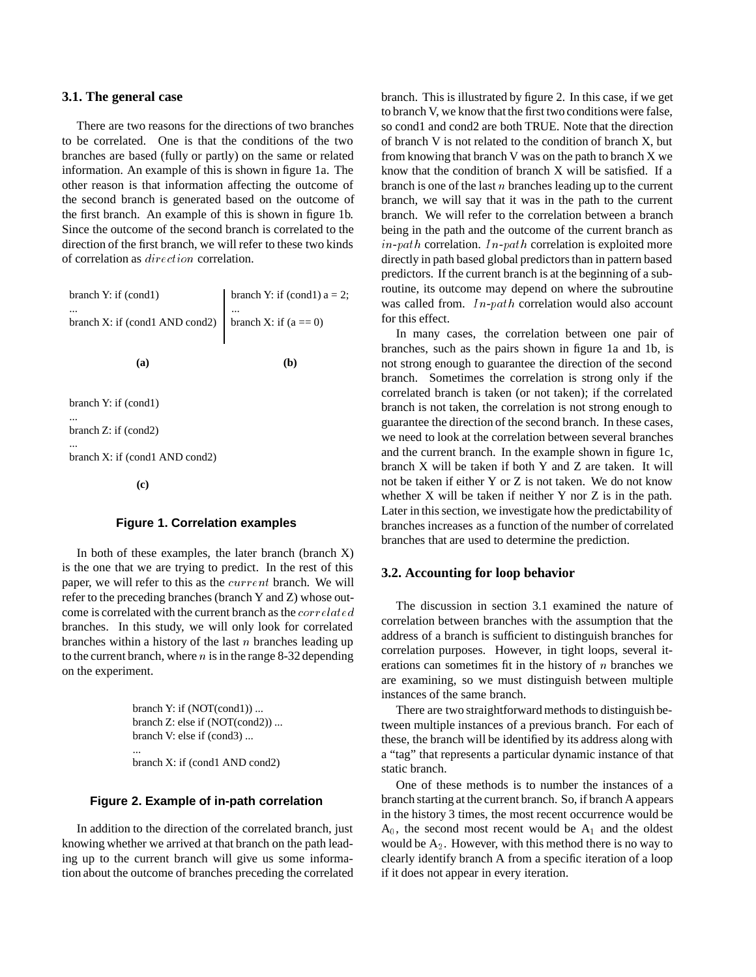### **3.1. The general case**

There are two reasons for the directions of two branches to be correlated. One is that the conditions of the two branches are based (fully or partly) on the same or related information. An example of this is shown in figure 1a. The other reason is that information affecting the outcome of the second branch is generated based on the outcome of the first branch. An example of this is shown in figure 1b. Since the outcome of the second branch is correlated to the direction of the first branch, we will refer to these two kinds of correlation as direction correlation.

| branch $Y$ : if (cond1)                                                                          | branch Y: if $(cond1)$ a = 2; |  |  |
|--------------------------------------------------------------------------------------------------|-------------------------------|--|--|
| branch X: if (cond1 AND cond2) $\begin{vmatrix}  \\ \text{branch X: if } (a == 0) \end{vmatrix}$ |                               |  |  |
| (a)                                                                                              | (b)                           |  |  |
| branch $Y$ : if (cond1)                                                                          |                               |  |  |
| branch $Z$ : if (cond2)                                                                          |                               |  |  |
|                                                                                                  |                               |  |  |

branch X: if (cond1 AND cond2)

**(c)**

...

### **Figure 1. Correlation examples**

In both of these examples, the later branch (branch  $X$ ) is the one that we are trying to predict. In the rest of this paper, we will refer to this as the current branch. We will refer to the preceding branches (branch Y and Z) whose outcome is correlated with the current branch as the correlated branches. In this study, we will only look for correlated branches within a history of the last <sup>n</sup> branches leading up to the current branch, where  $n$  is in the range 8-32 depending on the experiment.

> branch Y: if (NOT(cond1)) ... branch Z: else if (NOT(cond2)) ... branch V: else if (cond3) ...

branch X: if (cond1 AND cond2)

## **Figure 2. Example of in-path correlation**

In addition to the direction of the correlated branch, just knowing whether we arrived at that branch on the path leading up to the current branch will give us some information about the outcome of branches preceding the correlated branch. This is illustrated by figure 2. In this case, if we get to branch V, we know that the first two conditions were false, so cond1 and cond2 are both TRUE. Note that the direction of branch V is not related to the condition of branch X, but from knowing that branch V was on the path to branch X we know that the condition of branch X will be satisfied. If a branch is one of the last  $n$  branches leading up to the current branch, we will say that it was in the path to the current branch. We will refer to the correlation between a branch being in the path and the outcome of the current branch as  $in-path$  correlation. In-path correlation is exploited more directly in path based global predictors than in pattern based predictors. If the current branch is at the beginning of a subroutine, its outcome may depend on where the subroutine was called from. In-path correlation would also account for this effect.

In many cases, the correlation between one pair of branches, such as the pairs shown in figure 1a and 1b, is not strong enough to guarantee the direction of the second branch. Sometimes the correlation is strong only if the correlated branch is taken (or not taken); if the correlated branch is not taken, the correlation is not strong enough to guarantee the direction of the second branch. In these cases, we need to look at the correlation between several branches and the current branch. In the example shown in figure 1c, branch X will be taken if both Y and Z are taken. It will not be taken if either Y or Z is not taken. We do not know whether X will be taken if neither Y nor Z is in the path. Later in this section, we investigate how the predictability of branches increases as a function of the number of correlated branches that are used to determine the prediction.

### **3.2. Accounting for loop behavior**

The discussion in section 3.1 examined the nature of correlation between branches with the assumption that the address of a branch is sufficient to distinguish branches for correlation purposes. However, in tight loops, several iterations can sometimes fit in the history of  $n$  branches we are examining, so we must distinguish between multiple instances of the same branch.

There are two straightforward methods to distinguish between multiple instances of a previous branch. For each of these, the branch will be identified by its address along with a "tag" that represents a particular dynamic instance of that static branch.

One of these methods is to number the instances of a branch starting at the current branch. So, if branch A appears in the history 3 times, the most recent occurrence would be  $A_0$ , the second most recent would be  $A_1$  and the oldest would be  $A_2$ . However, with this method there is no way to clearly identify branch A from a specific iteration of a loop if it does not appear in every iteration.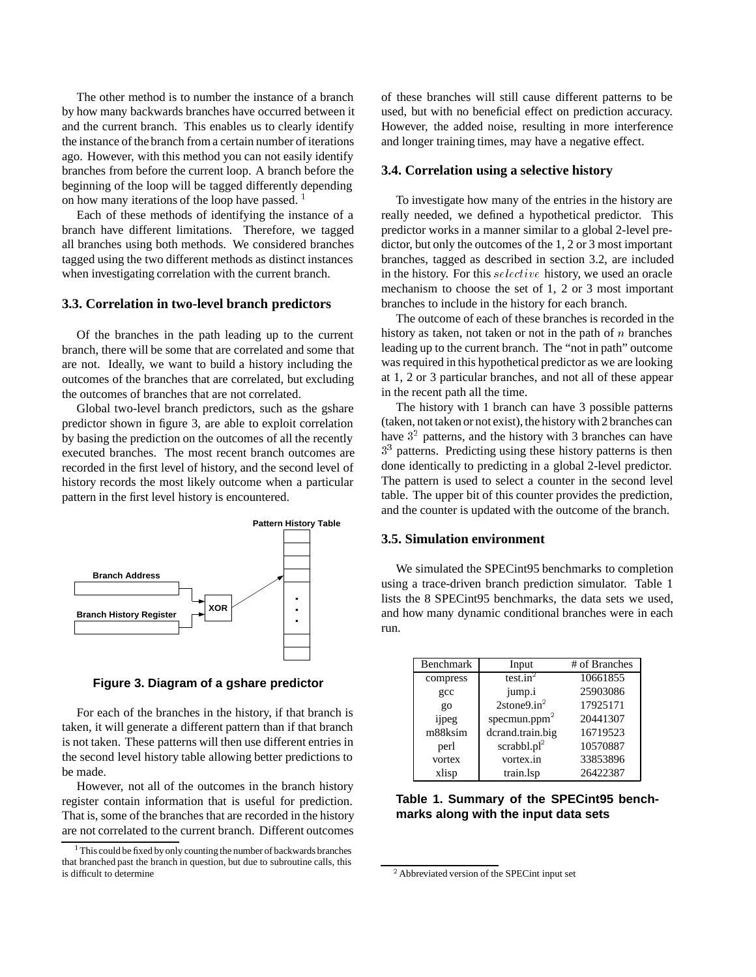The other method is to number the instance of a branch by how many backwards branches have occurred between it and the current branch. This enables us to clearly identify the instance of the branch from a certain number of iterations ago. However, with this method you can not easily identify branches from before the current loop. A branch before the beginning of the loop will be tagged differently depending on how many iterations of the loop have passed.

Each of these methods of identifying the instance of a branch have different limitations. Therefore, we tagged all branches using both methods. We considered branches tagged using the two different methods as distinct instances when investigating correlation with the current branch.

### **3.3. Correlation in two-level branch predictors**

Of the branches in the path leading up to the current branch, there will be some that are correlated and some that are not. Ideally, we want to build a history including the outcomes of the branches that are correlated, but excluding the outcomes of branches that are not correlated.

Global two-level branch predictors, such as the gshare predictor shown in figure 3, are able to exploit correlation by basing the prediction on the outcomes of all the recently executed branches. The most recent branch outcomes are recorded in the first level of history, and the second level of history records the most likely outcome when a particular pattern in the first level history is encountered.



**Figure 3. Diagram of a gshare predictor**

For each of the branches in the history, if that branch is taken, it will generate a different pattern than if that branch is not taken. These patterns will then use different entries in the second level history table allowing better predictions to be made.

However, not all of the outcomes in the branch history register contain information that is useful for prediction. That is, some of the branches that are recorded in the history are not correlated to the current branch. Different outcomes of these branches will still cause different patterns to be used, but with no beneficial effect on prediction accuracy. However, the added noise, resulting in more interference and longer training times, may have a negative effect.

### **3.4. Correlation using a selective history**

To investigate how many of the entries in the history are really needed, we defined a hypothetical predictor. This predictor works in a manner similar to a global 2-level predictor, but only the outcomes of the 1, 2 or 3 most important branches, tagged as described in section 3.2, are included in the history. For this selective history, we used an oracle mechanism to choose the set of 1, 2 or 3 most important branches to include in the history for each branch.

The outcome of each of these branches is recorded in the history as taken, not taken or not in the path of  $n$  branches leading up to the current branch. The "not in path" outcome was required in this hypothetical predictor as we are looking at 1, 2 or 3 particular branches, and not all of these appear in the recent path all the time.

The history with 1 branch can have 3 possible patterns (taken, not taken or not exist), the history with 2 branches can have  $3<sup>2</sup>$  patterns, and the history with 3 branches can have  $3<sup>3</sup>$  patterns. Predicting using these history patterns is then done identically to predicting in a global 2-level predictor. The pattern is used to select a counter in the second level table. The upper bit of this counter provides the prediction, and the counter is updated with the outcome of the branch.

#### **3.5. Simulation environment**

We simulated the SPECint95 benchmarks to completion using a trace-driven branch prediction simulator. Table 1 lists the 8 SPECint95 benchmarks, the data sets we used, and how many dynamic conditional branches were in each run.

| Benchmark | Input                    | # of Branches |  |
|-----------|--------------------------|---------------|--|
| compress  | test.in $^2$             | 10661855      |  |
| gcc       | jump.i                   | 25903086      |  |
| $g_{0}$   | 2stone9.in <sup>2</sup>  | 17925171      |  |
| ijpeg     | specmun.ppm <sup>2</sup> | 20441307      |  |
| m88ksim   | dcrand.train.big         | 16719523      |  |
| perl      | scrabbl. $pl2$           | 10570887      |  |
| vortex    | vortex.in                | 33853896      |  |
| xlisp     | train.lsp                | 26422387      |  |

**Table 1. Summary of the SPECint95 benchmarks along with the input data sets**

 $1$  This could be fixed by only counting the number of backwards branches that branched past the branch in question, but due to subroutine calls, this is difficult to determine

<sup>&</sup>lt;sup>2</sup> Abbreviated version of the SPECint input set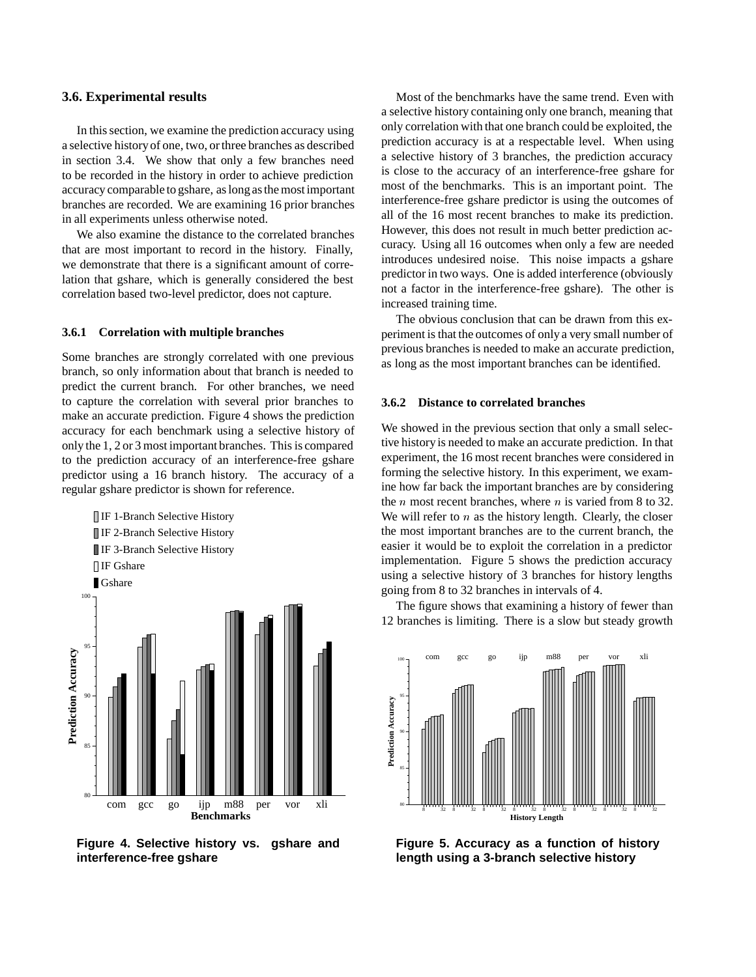### **3.6. Experimental results**

In this section, we examine the prediction accuracy using a selective historyof one, two, or three branches as described in section 3.4. We show that only a few branches need to be recorded in the history in order to achieve prediction accuracy comparable to gshare, as long as the most important branches are recorded. We are examining 16 prior branches in all experiments unless otherwise noted.

We also examine the distance to the correlated branches that are most important to record in the history. Finally, we demonstrate that there is a significant amount of correlation that gshare, which is generally considered the best correlation based two-level predictor, does not capture.

### **3.6.1 Correlation with multiple branches**

Some branches are strongly correlated with one previous branch, so only information about that branch is needed to predict the current branch. For other branches, we need to capture the correlation with several prior branches to make an accurate prediction. Figure 4 shows the prediction accuracy for each benchmark using a selective history of only the 1, 2 or 3 most important branches. This is compared to the prediction accuracy of an interference-free gshare predictor using a 16 branch history. The accuracy of a regular gshare predictor is shown for reference.



**Figure 4. Selective history vs. gshare and interference-free gshare**

Most of the benchmarks have the same trend. Even with a selective history containing only one branch, meaning that only correlation with that one branch could be exploited, the prediction accuracy is at a respectable level. When using a selective history of 3 branches, the prediction accuracy is close to the accuracy of an interference-free gshare for most of the benchmarks. This is an important point. The interference-free gshare predictor is using the outcomes of all of the 16 most recent branches to make its prediction. However, this does not result in much better prediction accuracy. Using all 16 outcomes when only a few are needed introduces undesired noise. This noise impacts a gshare predictor in two ways. One is added interference (obviously not a factor in the interference-free gshare). The other is increased training time.

The obvious conclusion that can be drawn from this experiment is that the outcomes of only a very small number of previous branches is needed to make an accurate prediction, as long as the most important branches can be identified.

#### **3.6.2 Distance to correlated branches**

We showed in the previous section that only a small selective history is needed to make an accurate prediction. In that experiment, the 16 most recent branches were considered in forming the selective history. In this experiment, we examine how far back the important branches are by considering the  $n$  most recent branches, where  $n$  is varied from 8 to 32. We will refer to  $n$  as the history length. Clearly, the closer the most important branches are to the current branch, the easier it would be to exploit the correlation in a predictor implementation. Figure 5 shows the prediction accuracy using a selective history of 3 branches for history lengths going from 8 to 32 branches in intervals of 4.

The figure shows that examining a history of fewer than 12 branches is limiting. There is a slow but steady growth



**Figure 5. Accuracy as a function of history length using a 3-branch selective history**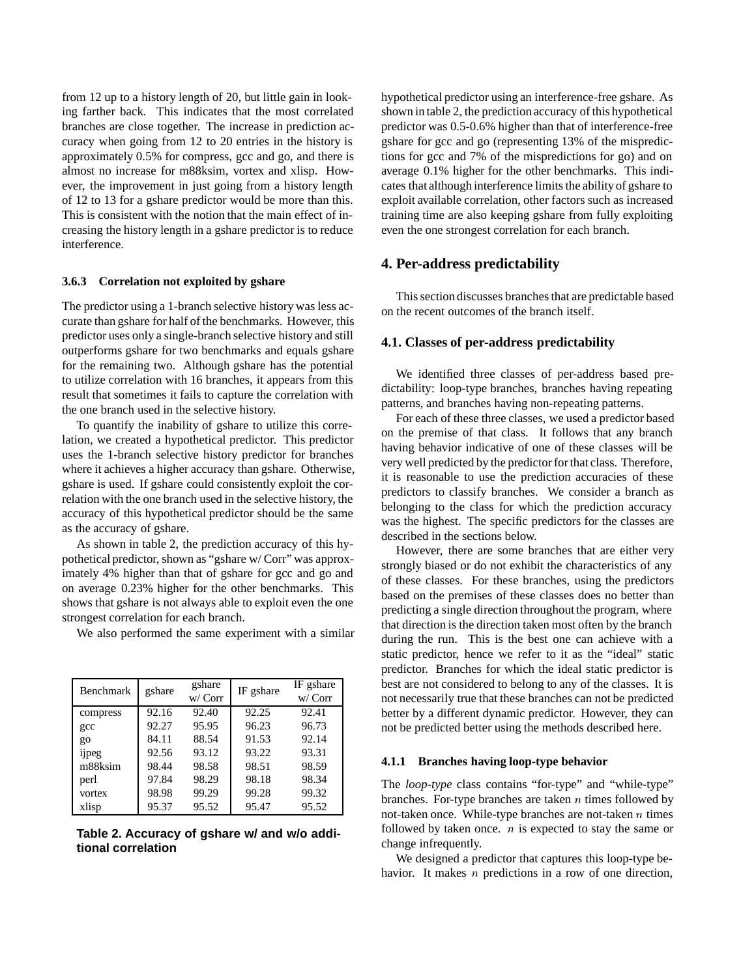from 12 up to a history length of 20, but little gain in looking farther back. This indicates that the most correlated branches are close together. The increase in prediction accuracy when going from 12 to 20 entries in the history is approximately 0.5% for compress, gcc and go, and there is almost no increase for m88ksim, vortex and xlisp. However, the improvement in just going from a history length of 12 to 13 for a gshare predictor would be more than this. This is consistent with the notion that the main effect of increasing the history length in a gshare predictor is to reduce interference.

#### **3.6.3 Correlation not exploited by gshare**

The predictor using a 1-branch selective history was less accurate than gshare for half of the benchmarks. However, this predictor uses only a single-branch selective history and still outperforms gshare for two benchmarks and equals gshare for the remaining two. Although gshare has the potential to utilize correlation with 16 branches, it appears from this result that sometimes it fails to capture the correlation with the one branch used in the selective history.

To quantify the inability of gshare to utilize this correlation, we created a hypothetical predictor. This predictor uses the 1-branch selective history predictor for branches where it achieves a higher accuracy than gshare. Otherwise, gshare is used. If gshare could consistently exploit the correlation with the one branch used in the selective history, the accuracy of this hypothetical predictor should be the same as the accuracy of gshare.

As shown in table 2, the prediction accuracy of this hypothetical predictor, shown as "gshare w/ Corr" was approximately 4% higher than that of gshare for gcc and go and on average 0.23% higher for the other benchmarks. This shows that gshare is not always able to exploit even the one strongest correlation for each branch.

We also performed the same experiment with a similar

| Benchmark | gshare | gshare<br>w/ Corr | IF gshare | IF gshare<br>w/Corr |
|-----------|--------|-------------------|-----------|---------------------|
| compress  | 92.16  | 92.40             | 92.25     | 92.41               |
| gcc       | 92.27  | 95.95             | 96.23     | 96.73               |
| go        | 84.11  | 88.54             | 91.53     | 92.14               |
| ijpeg     | 92.56  | 93.12             | 93.22     | 93.31               |
| m88ksim   | 98.44  | 98.58             | 98.51     | 98.59               |
| perl      | 97.84  | 98.29             | 98.18     | 98.34               |
| vortex    | 98.98  | 99.29             | 99.28     | 99.32               |
| xlisp     | 95.37  | 95.52             | 95.47     | 95.52               |

**Table 2. Accuracy of gshare w/ and w/o additional correlation**

hypothetical predictor using an interference-free gshare. As shown in table 2, the prediction accuracy of this hypothetical predictor was 0.5-0.6% higher than that of interference-free gshare for gcc and go (representing 13% of the mispredictions for gcc and 7% of the mispredictions for go) and on average 0.1% higher for the other benchmarks. This indicates that although interference limits the ability of gshare to exploit available correlation, other factors such as increased training time are also keeping gshare from fully exploiting even the one strongest correlation for each branch.

# **4. Per-address predictability**

This section discusses branches that are predictable based on the recent outcomes of the branch itself.

# **4.1. Classes of per-address predictability**

We identified three classes of per-address based predictability: loop-type branches, branches having repeating patterns, and branches having non-repeating patterns.

For each of these three classes, we used a predictor based on the premise of that class. It follows that any branch having behavior indicative of one of these classes will be very well predicted by the predictor for that class. Therefore, it is reasonable to use the prediction accuracies of these predictors to classify branches. We consider a branch as belonging to the class for which the prediction accuracy was the highest. The specific predictors for the classes are described in the sections below.

However, there are some branches that are either very strongly biased or do not exhibit the characteristics of any of these classes. For these branches, using the predictors based on the premises of these classes does no better than predicting a single direction throughout the program, where that direction is the direction taken most often by the branch during the run. This is the best one can achieve with a static predictor, hence we refer to it as the "ideal" static predictor. Branches for which the ideal static predictor is best are not considered to belong to any of the classes. It is not necessarily true that these branches can not be predicted better by a different dynamic predictor. However, they can not be predicted better using the methods described here.

#### **4.1.1 Branches having loop-type behavior**

The *loop-type* class contains "for-type" and "while-type" branches. For-type branches are taken  $n$  times followed by not-taken once. While-type branches are not-taken  $n$  times followed by taken once.  $n$  is expected to stay the same or change infrequently.

We designed a predictor that captures this loop-type behavior. It makes *n* predictions in a row of one direction,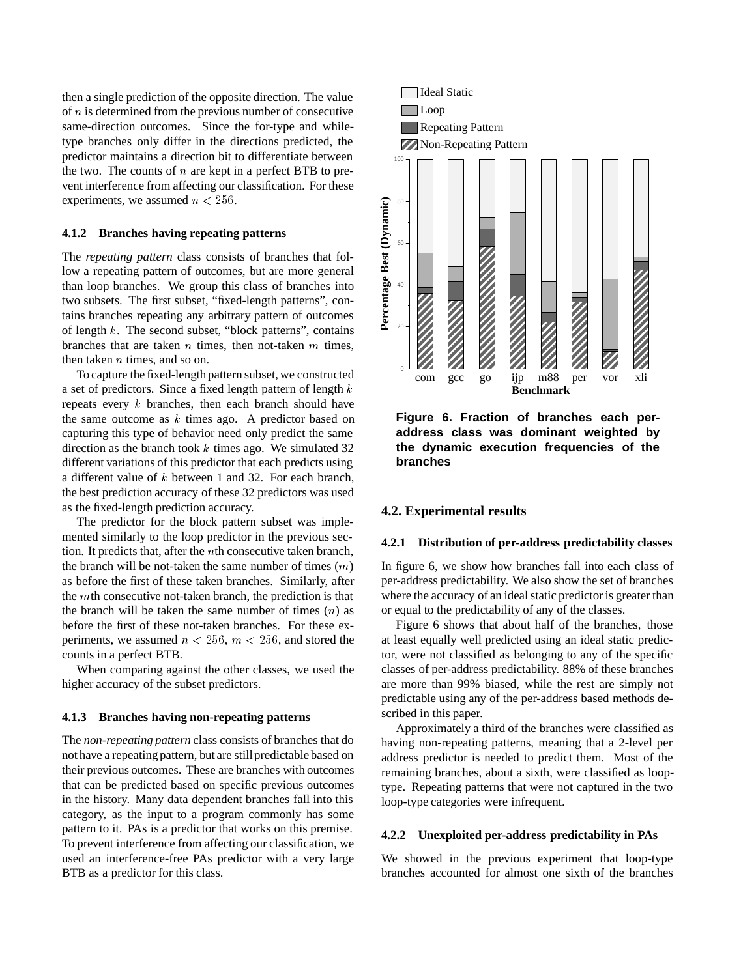then a single prediction of the opposite direction. The value of  $n$  is determined from the previous number of consecutive same-direction outcomes. Since the for-type and whiletype branches only differ in the directions predicted, the predictor maintains a direction bit to differentiate between the two. The counts of  $n$  are kept in a perfect BTB to prevent interference from affecting our classification. For these experiments, we assumed  $n < 256$ .

### **4.1.2 Branches having repeating patterns**

The *repeating pattern* class consists of branches that follow a repeating pattern of outcomes, but are more general than loop branches. We group this class of branches into two subsets. The first subset, "fixed-length patterns", contains branches repeating any arbitrary pattern of outcomes of length  $k$ . The second subset, "block patterns", contains branches that are taken  $n$  times, then not-taken  $m$  times, then taken  $n$  times, and so on.

To capture the fixed-length pattern subset, we constructed a set of predictors. Since a fixed length pattern of length <sup>k</sup> repeats every  $k$  branches, then each branch should have the same outcome as  $k$  times ago. A predictor based on capturing this type of behavior need only predict the same direction as the branch took  $k$  times ago. We simulated 32 different variations of this predictor that each predicts using a different value of <sup>k</sup> between 1 and 32. For each branch, the best prediction accuracy of these 32 predictors was used as the fixed-length prediction accuracy.

The predictor for the block pattern subset was implemented similarly to the loop predictor in the previous section. It predicts that, after the <sup>n</sup>th consecutive taken branch, the branch will be not-taken the same number of times  $(m)$ as before the first of these taken branches. Similarly, after the <sup>m</sup>th consecutive not-taken branch, the prediction is that the branch will be taken the same number of times  $(n)$  as before the first of these not-taken branches. For these experiments, we assumed  $n < 256$ ,  $m < 256$ , and stored the counts in a perfect BTB.

When comparing against the other classes, we used the higher accuracy of the subset predictors.

### **4.1.3 Branches having non-repeating patterns**

The *non-repeating pattern* class consists of branches that do not have a repeating pattern, but are still predictable based on their previous outcomes. These are branches with outcomes that can be predicted based on specific previous outcomes in the history. Many data dependent branches fall into this category, as the input to a program commonly has some pattern to it. PAs is a predictor that works on this premise. To prevent interference from affecting our classification, we used an interference-free PAs predictor with a very large BTB as a predictor for this class.



**Figure 6. Fraction of branches each peraddress class was dominant weighted by the dynamic execution frequencies of the branches**

#### **4.2. Experimental results**

### **4.2.1 Distribution of per-address predictability classes**

In figure 6, we show how branches fall into each class of per-address predictability. We also show the set of branches where the accuracy of an ideal static predictor is greater than or equal to the predictability of any of the classes.

Figure 6 shows that about half of the branches, those at least equally well predicted using an ideal static predictor, were not classified as belonging to any of the specific classes of per-address predictability. 88% of these branches are more than 99% biased, while the rest are simply not predictable using any of the per-address based methods described in this paper.

Approximately a third of the branches were classified as having non-repeating patterns, meaning that a 2-level per address predictor is needed to predict them. Most of the remaining branches, about a sixth, were classified as looptype. Repeating patterns that were not captured in the two loop-type categories were infrequent.

### **4.2.2 Unexploited per-address predictability in PAs**

We showed in the previous experiment that loop-type branches accounted for almost one sixth of the branches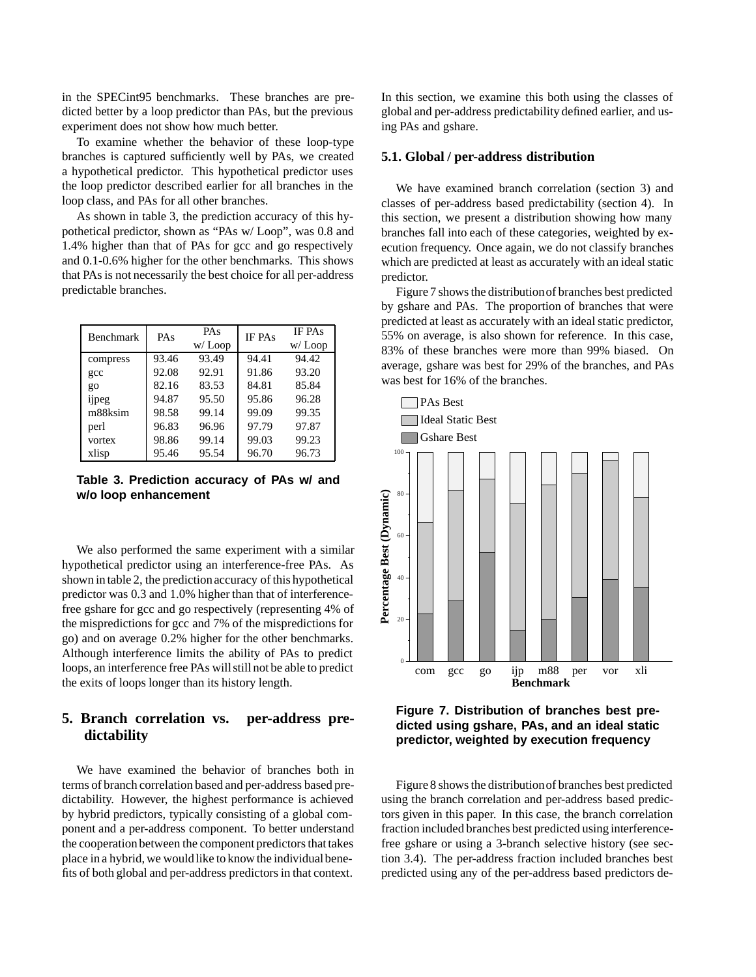in the SPECint95 benchmarks. These branches are predicted better by a loop predictor than PAs, but the previous experiment does not show how much better.

To examine whether the behavior of these loop-type branches is captured sufficiently well by PAs, we created a hypothetical predictor. This hypothetical predictor uses the loop predictor described earlier for all branches in the loop class, and PAs for all other branches.

As shown in table 3, the prediction accuracy of this hypothetical predictor, shown as "PAs w/ Loop", was 0.8 and 1.4% higher than that of PAs for gcc and go respectively and 0.1-0.6% higher for the other benchmarks. This shows that PAs is not necessarily the best choice for all per-address predictable branches.

| <b>Benchmark</b> | PAs   | PA <sub>S</sub> | <b>IF PAs</b> | <b>IF PAs</b> |
|------------------|-------|-----------------|---------------|---------------|
|                  |       | w/Loop          |               | w/Loop        |
| compress         | 93.46 | 93.49           | 94.41         | 94.42         |
| gcc              | 92.08 | 92.91           | 91.86         | 93.20         |
| go               | 82.16 | 83.53           | 84.81         | 85.84         |
| ijpeg            | 94.87 | 95.50           | 95.86         | 96.28         |
| m88ksim          | 98.58 | 99.14           | 99.09         | 99.35         |
| perl             | 96.83 | 96.96           | 97.79         | 97.87         |
| vortex           | 98.86 | 99.14           | 99.03         | 99.23         |
| xlisp            | 95.46 | 95.54           | 96.70         | 96.73         |

**Table 3. Prediction accuracy of PAs w/ and w/o loop enhancement**

We also performed the same experiment with a similar hypothetical predictor using an interference-free PAs. As shown in table 2, the predictionaccuracy of this hypothetical predictor was 0.3 and 1.0% higher than that of interferencefree gshare for gcc and go respectively (representing 4% of the mispredictions for gcc and 7% of the mispredictions for go) and on average 0.2% higher for the other benchmarks. Although interference limits the ability of PAs to predict loops, an interference free PAs willstill not be able to predict the exits of loops longer than its history length.

# **5. Branch correlation vs. per-address predictability**

We have examined the behavior of branches both in terms of branch correlation based and per-address based predictability. However, the highest performance is achieved by hybrid predictors, typically consisting of a global component and a per-address component. To better understand the cooperation between the component predictors that takes place in a hybrid, we wouldlike to know the individualbenefits of both global and per-address predictors in that context.

In this section, we examine this both using the classes of global and per-address predictability defined earlier, and using PAs and gshare.

# **5.1. Global / per-address distribution**

We have examined branch correlation (section 3) and classes of per-address based predictability (section 4). In this section, we present a distribution showing how many branches fall into each of these categories, weighted by execution frequency. Once again, we do not classify branches which are predicted at least as accurately with an ideal static predictor.

Figure 7 shows the distributionof branches best predicted by gshare and PAs. The proportion of branches that were predicted at least as accurately with an ideal static predictor, 55% on average, is also shown for reference. In this case, 83% of these branches were more than 99% biased. On average, gshare was best for 29% of the branches, and PAs was best for 16% of the branches.



**Figure 7. Distribution of branches best predicted using gshare, PAs, and an ideal static predictor, weighted by execution frequency**

Figure 8 shows the distributionof branches best predicted using the branch correlation and per-address based predictors given in this paper. In this case, the branch correlation fraction included branches best predicted using interferencefree gshare or using a 3-branch selective history (see section 3.4). The per-address fraction included branches best predicted using any of the per-address based predictors de-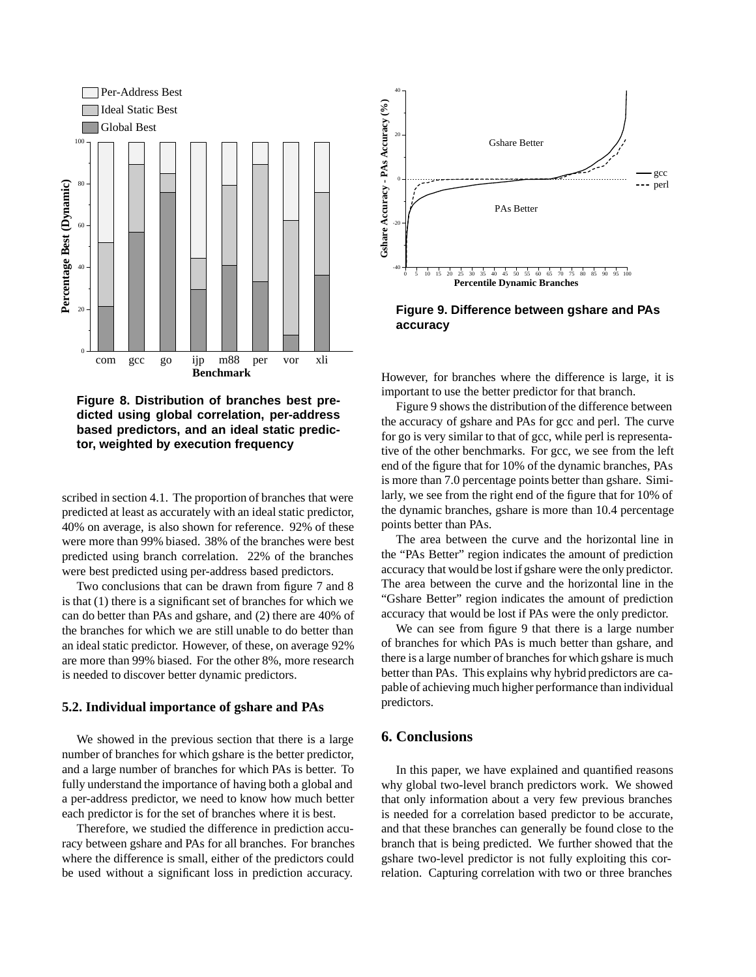

**Figure 8. Distribution of branches best predicted using global correlation, per-address based predictors, and an ideal static predictor, weighted by execution frequency**

scribed in section 4.1. The proportion of branches that were predicted at least as accurately with an ideal static predictor, 40% on average, is also shown for reference. 92% of these were more than 99% biased. 38% of the branches were best predicted using branch correlation. 22% of the branches were best predicted using per-address based predictors.

Two conclusions that can be drawn from figure 7 and 8 is that (1) there is a significant set of branches for which we can do better than PAs and gshare, and (2) there are 40% of the branches for which we are still unable to do better than an ideal static predictor. However, of these, on average 92% are more than 99% biased. For the other 8%, more research is needed to discover better dynamic predictors.

## **5.2. Individual importance of gshare and PAs**

We showed in the previous section that there is a large number of branches for which gshare is the better predictor, and a large number of branches for which PAs is better. To fully understand the importance of having both a global and a per-address predictor, we need to know how much better each predictor is for the set of branches where it is best.

Therefore, we studied the difference in prediction accuracy between gshare and PAs for all branches. For branches where the difference is small, either of the predictors could be used without a significant loss in prediction accuracy.



**Figure 9. Difference between gshare and PAs accuracy**

However, for branches where the difference is large, it is important to use the better predictor for that branch.

Figure 9 shows the distribution of the difference between the accuracy of gshare and PAs for gcc and perl. The curve for go is very similar to that of gcc, while perl is representative of the other benchmarks. For gcc, we see from the left end of the figure that for 10% of the dynamic branches, PAs is more than 7.0 percentage points better than gshare. Similarly, we see from the right end of the figure that for 10% of the dynamic branches, gshare is more than 10.4 percentage points better than PAs.

The area between the curve and the horizontal line in the "PAs Better" region indicates the amount of prediction accuracy that would be lost if gshare were the only predictor. The area between the curve and the horizontal line in the "Gshare Better" region indicates the amount of prediction accuracy that would be lost if PAs were the only predictor.

We can see from figure 9 that there is a large number of branches for which PAs is much better than gshare, and there is a large number of branches for which gshare is much better than PAs. This explains why hybrid predictors are capable of achieving much higher performance than individual predictors.

# **6. Conclusions**

In this paper, we have explained and quantified reasons why global two-level branch predictors work. We showed that only information about a very few previous branches is needed for a correlation based predictor to be accurate, and that these branches can generally be found close to the branch that is being predicted. We further showed that the gshare two-level predictor is not fully exploiting this correlation. Capturing correlation with two or three branches